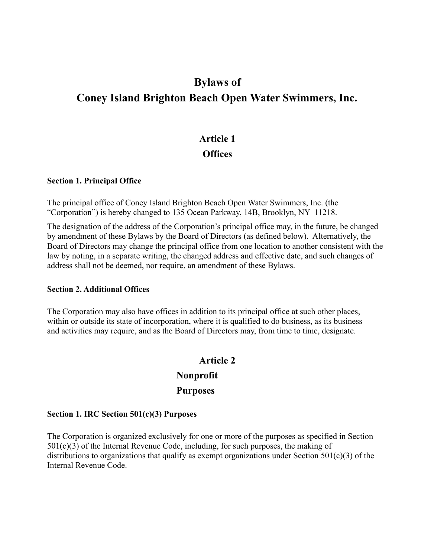# **Bylaws of Coney Island Brighton Beach Open Water Swimmers, Inc.**

# **Article 1 Offices**

#### **Section 1. Principal Office**

The principal office of Coney Island Brighton Beach Open Water Swimmers, Inc. (the "Corporation") is hereby changed to 135 Ocean Parkway, 14B, Brooklyn, NY 11218.

The designation of the address of the Corporation's principal office may, in the future, be changed by amendment of these Bylaws by the Board of Directors (as defined below). Alternatively, the Board of Directors may change the principal office from one location to another consistent with the law by noting, in a separate writing, the changed address and effective date, and such changes of address shall not be deemed, nor require, an amendment of these Bylaws.

#### **Section 2. Additional Offices**

The Corporation may also have offices in addition to its principal office at such other places, within or outside its state of incorporation, where it is qualified to do business, as its business and activities may require, and as the Board of Directors may, from time to time, designate.

# **Article 2**

### **Nonprofit**

### **Purposes**

### **Section 1. IRC Section 501(c)(3) Purposes**

The Corporation is organized exclusively for one or more of the purposes as specified in Section  $501(c)(3)$  of the Internal Revenue Code, including, for such purposes, the making of distributions to organizations that qualify as exempt organizations under Section 501(c)(3) of the Internal Revenue Code.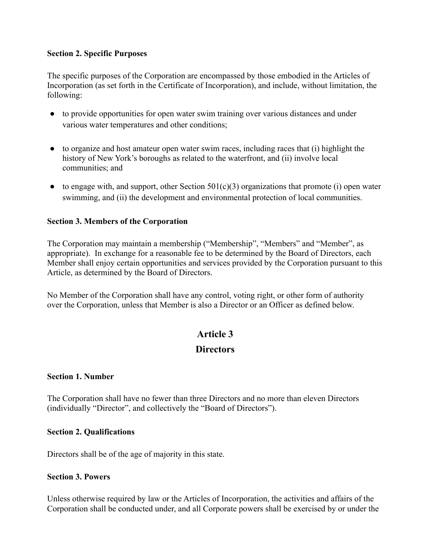### **Section 2. Specific Purposes**

The specific purposes of the Corporation are encompassed by those embodied in the Articles of Incorporation (as set forth in the Certificate of Incorporation), and include, without limitation, the following:

- to provide opportunities for open water swim training over various distances and under various water temperatures and other conditions;
- to organize and host amateur open water swim races, including races that (i) highlight the history of New York's boroughs as related to the waterfront, and (ii) involve local communities; and
- $\bullet$  to engage with, and support, other Section 501(c)(3) organizations that promote (i) open water swimming, and (ii) the development and environmental protection of local communities.

### **Section 3. Members of the Corporation**

The Corporation may maintain a membership ("Membership", "Members" and "Member", as appropriate). In exchange for a reasonable fee to be determined by the Board of Directors, each Member shall enjoy certain opportunities and services provided by the Corporation pursuant to this Article, as determined by the Board of Directors.

No Member of the Corporation shall have any control, voting right, or other form of authority over the Corporation, unless that Member is also a Director or an Officer as defined below.

# **Article 3**

# **Directors**

### **Section 1. Number**

The Corporation shall have no fewer than three Directors and no more than eleven Directors (individually "Director", and collectively the "Board of Directors").

### **Section 2. Qualifications**

Directors shall be of the age of majority in this state.

### **Section 3. Powers**

Unless otherwise required by law or the Articles of Incorporation, the activities and affairs of the Corporation shall be conducted under, and all Corporate powers shall be exercised by or under the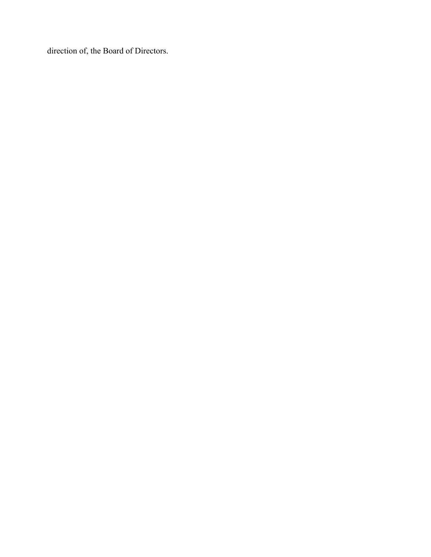direction of, the Board of Directors.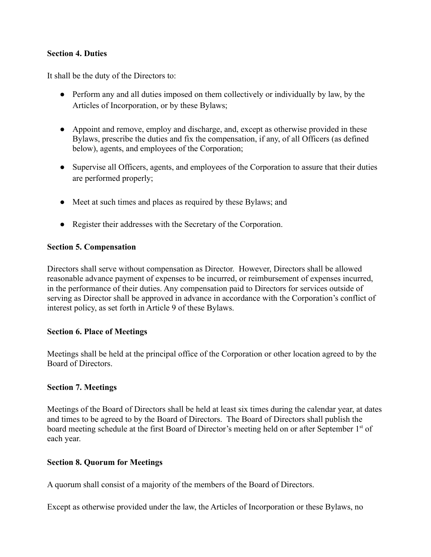### **Section 4. Duties**

It shall be the duty of the Directors to:

- Perform any and all duties imposed on them collectively or individually by law, by the Articles of Incorporation, or by these Bylaws;
- Appoint and remove, employ and discharge, and, except as otherwise provided in these Bylaws, prescribe the duties and fix the compensation, if any, of all Officers (as defined below), agents, and employees of the Corporation;
- Supervise all Officers, agents, and employees of the Corporation to assure that their duties are performed properly;
- Meet at such times and places as required by these Bylaws; and
- Register their addresses with the Secretary of the Corporation.

### **Section 5. Compensation**

Directors shall serve without compensation as Director. However, Directors shall be allowed reasonable advance payment of expenses to be incurred, or reimbursement of expenses incurred, in the performance of their duties. Any compensation paid to Directors for services outside of serving as Director shall be approved in advance in accordance with the Corporation's conflict of interest policy, as set forth in Article 9 of these Bylaws.

### **Section 6. Place of Meetings**

Meetings shall be held at the principal office of the Corporation or other location agreed to by the Board of Directors.

# **Section 7. Meetings**

Meetings of the Board of Directors shall be held at least six times during the calendar year, at dates and times to be agreed to by the Board of Directors. The Board of Directors shall publish the board meeting schedule at the first Board of Director's meeting held on or after September 1<sup>st</sup> of each year.

# **Section 8. Quorum for Meetings**

A quorum shall consist of a majority of the members of the Board of Directors.

Except as otherwise provided under the law, the Articles of Incorporation or these Bylaws, no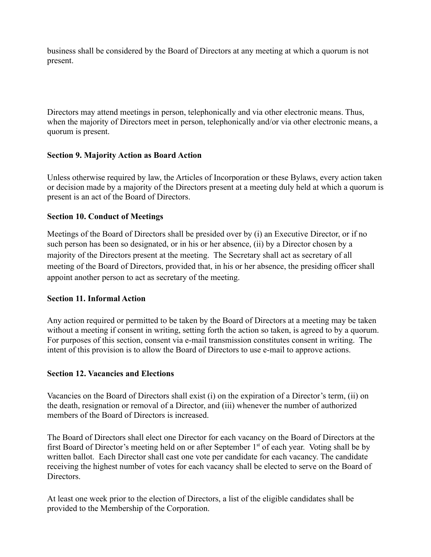business shall be considered by the Board of Directors at any meeting at which a quorum is not present.

Directors may attend meetings in person, telephonically and via other electronic means. Thus, when the majority of Directors meet in person, telephonically and/or via other electronic means, a quorum is present.

# **Section 9. Majority Action as Board Action**

Unless otherwise required by law, the Articles of Incorporation or these Bylaws, every action taken or decision made by a majority of the Directors present at a meeting duly held at which a quorum is present is an act of the Board of Directors.

### **Section 10. Conduct of Meetings**

Meetings of the Board of Directors shall be presided over by (i) an Executive Director, or if no such person has been so designated, or in his or her absence, (ii) by a Director chosen by a majority of the Directors present at the meeting. The Secretary shall act as secretary of all meeting of the Board of Directors, provided that, in his or her absence, the presiding officer shall appoint another person to act as secretary of the meeting.

### **Section 11. Informal Action**

Any action required or permitted to be taken by the Board of Directors at a meeting may be taken without a meeting if consent in writing, setting forth the action so taken, is agreed to by a quorum. For purposes of this section, consent via e-mail transmission constitutes consent in writing. The intent of this provision is to allow the Board of Directors to use e-mail to approve actions.

# **Section 12. Vacancies and Elections**

Vacancies on the Board of Directors shall exist (i) on the expiration of a Director's term, (ii) on the death, resignation or removal of a Director, and (iii) whenever the number of authorized members of the Board of Directors is increased.

The Board of Directors shall elect one Director for each vacancy on the Board of Directors at the first Board of Director's meeting held on or after September  $1<sup>st</sup>$  of each year. Voting shall be by written ballot. Each Director shall cast one vote per candidate for each vacancy. The candidate receiving the highest number of votes for each vacancy shall be elected to serve on the Board of Directors.

At least one week prior to the election of Directors, a list of the eligible candidates shall be provided to the Membership of the Corporation.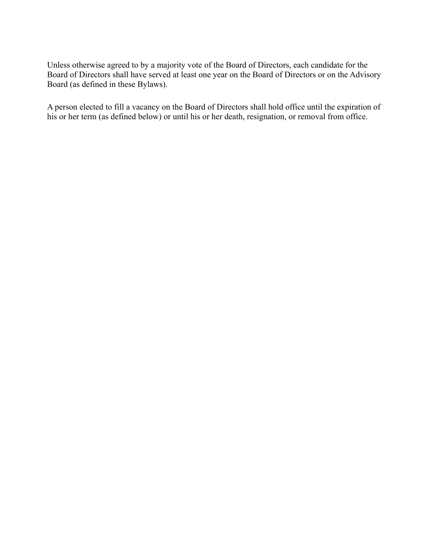Unless otherwise agreed to by a majority vote of the Board of Directors, each candidate for the Board of Directors shall have served at least one year on the Board of Directors or on the Advisory Board (as defined in these Bylaws).

A person elected to fill a vacancy on the Board of Directors shall hold office until the expiration of his or her term (as defined below) or until his or her death, resignation, or removal from office.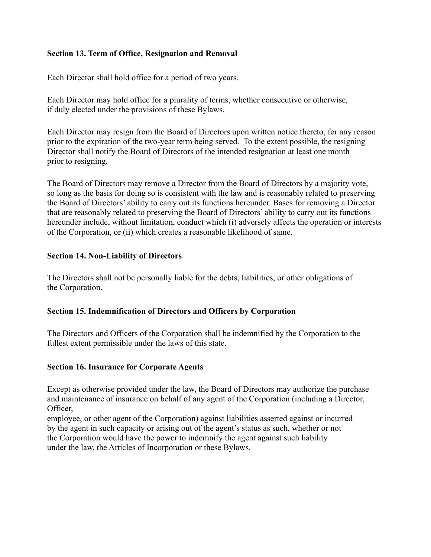# **Section 13. Term of Office, Resignation and Removal**

Each Director shall hold office for a period of two years.

Each Director may hold office for a plurality of terms, whether consecutive or otherwise, if duly elected under the provisions of these Bylaws.

Each Director may resign from the Board of Directors upon written notice thereto, for any reason prior to the expiration of the two-year term being served. To the extent possible, the resigning Director shall notify the Board of Directors of the intended resignation at least one month prior to resigning.

The Board of Directors may remove a Director from the Board of Directors by a majority vote, so long as the basis for doing so is consistent with the law and is reasonably related to preserving the Board of Directors' ability to carry out its functions hereunder. Bases for removing a Director that are reasonably related to preserving the Board of Directors' ability to carry out its functions hereunder include, without limitation, conduct which (i) adversely affects the operation or interests of the Corporation, or (ii) which creates a reasonable likelihood of same.

### **Section 14. Non-Liability of Directors**

The Directors shall not be personally liable for the debts, liabilities, or other obligations of the Corporation.

# **Section 15. Indemnification of Directors and Officers by Corporation**

The Directors and Officers of the Corporation shall be indemnified by the Corporation to the fullest extent permissible under the laws of this state.

### **Section 16. Insurance for Corporate Agents**

Except as otherwise provided under the law, the Board of Directors may authorize the purchase and maintenance of insurance on behalf of any agent of the Corporation (including a Director, Officer,

employee, or other agent of the Corporation) against liabilities asserted against or incurred by the agent in such capacity or arising out of the agent's status as such, whether or not the Corporation would have the power to indemnify the agent against such liability under the law, the Articles of Incorporation or these Bylaws.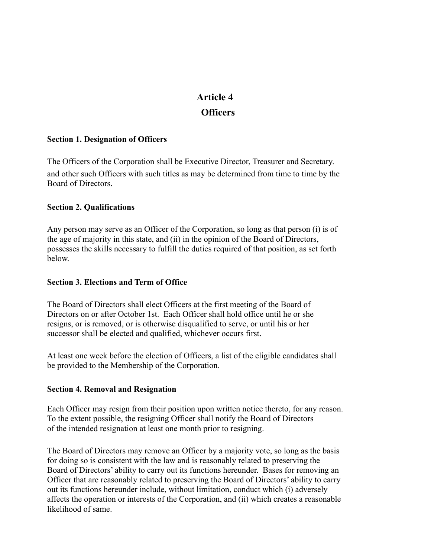# **Article 4 Officers**

### **Section 1. Designation of Officers**

The Officers of the Corporation shall be Executive Director, Treasurer and Secretary. and other such Officers with such titles as may be determined from time to time by the Board of Directors.

# **Section 2. Qualifications**

Any person may serve as an Officer of the Corporation, so long as that person (i) is of the age of majority in this state, and (ii) in the opinion of the Board of Directors, possesses the skills necessary to fulfill the duties required of that position, as set forth below.

# **Section 3. Elections and Term of Office**

The Board of Directors shall elect Officers at the first meeting of the Board of Directors on or after October 1st. Each Officer shall hold office until he or she resigns, or is removed, or is otherwise disqualified to serve, or until his or her successor shall be elected and qualified, whichever occurs first.

At least one week before the election of Officers, a list of the eligible candidates shall be provided to the Membership of the Corporation.

# **Section 4. Removal and Resignation**

Each Officer may resign from their position upon written notice thereto, for any reason. To the extent possible, the resigning Officer shall notify the Board of Directors of the intended resignation at least one month prior to resigning.

The Board of Directors may remove an Officer by a majority vote, so long as the basis for doing so is consistent with the law and is reasonably related to preserving the Board of Directors' ability to carry out its functions hereunder. Bases for removing an Officer that are reasonably related to preserving the Board of Directors' ability to carry out its functions hereunder include, without limitation, conduct which (i) adversely affects the operation or interests of the Corporation, and (ii) which creates a reasonable likelihood of same.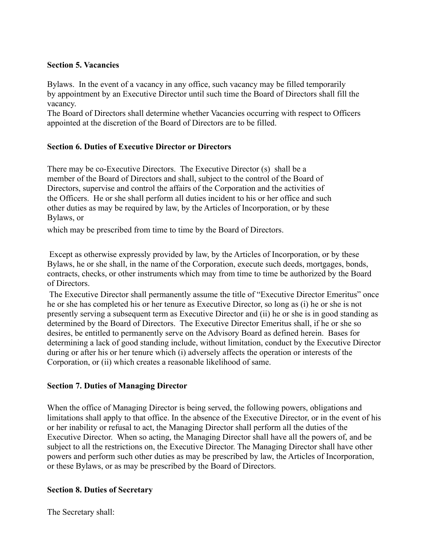### **Section 5. Vacancies**

Bylaws. In the event of a vacancy in any office, such vacancy may be filled temporarily by appointment by an Executive Director until such time the Board of Directors shall fill the vacancy.

The Board of Directors shall determine whether Vacancies occurring with respect to Officers appointed at the discretion of the Board of Directors are to be filled.

# **Section 6. Duties of Executive Director or Directors**

There may be co-Executive Directors. The Executive Director (s) shall be a member of the Board of Directors and shall, subject to the control of the Board of Directors, supervise and control the affairs of the Corporation and the activities of the Officers. He or she shall perform all duties incident to his or her office and such other duties as may be required by law, by the Articles of Incorporation, or by these Bylaws, or

which may be prescribed from time to time by the Board of Directors.

Except as otherwise expressly provided by law, by the Articles of Incorporation, or by these Bylaws, he or she shall, in the name of the Corporation, execute such deeds, mortgages, bonds, contracts, checks, or other instruments which may from time to time be authorized by the Board of Directors.

The Executive Director shall permanently assume the title of "Executive Director Emeritus" once he or she has completed his or her tenure as Executive Director, so long as (i) he or she is not presently serving a subsequent term as Executive Director and (ii) he or she is in good standing as determined by the Board of Directors. The Executive Director Emeritus shall, if he or she so desires, be entitled to permanently serve on the Advisory Board as defined herein. Bases for determining a lack of good standing include, without limitation, conduct by the Executive Director during or after his or her tenure which (i) adversely affects the operation or interests of the Corporation, or (ii) which creates a reasonable likelihood of same.

### **Section 7. Duties of Managing Director**

When the office of Managing Director is being served, the following powers, obligations and limitations shall apply to that office. In the absence of the Executive Director, or in the event of his or her inability or refusal to act, the Managing Director shall perform all the duties of the Executive Director. When so acting, the Managing Director shall have all the powers of, and be subject to all the restrictions on, the Executive Director. The Managing Director shall have other powers and perform such other duties as may be prescribed by law, the Articles of Incorporation, or these Bylaws, or as may be prescribed by the Board of Directors.

### **Section 8. Duties of Secretary**

The Secretary shall: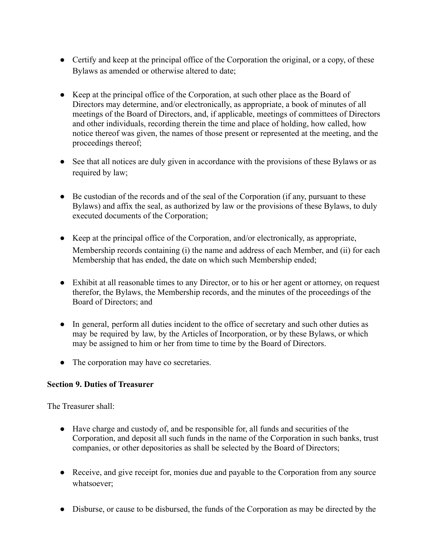- Certify and keep at the principal office of the Corporation the original, or a copy, of these Bylaws as amended or otherwise altered to date;
- Keep at the principal office of the Corporation, at such other place as the Board of Directors may determine, and/or electronically, as appropriate, a book of minutes of all meetings of the Board of Directors, and, if applicable, meetings of committees of Directors and other individuals, recording therein the time and place of holding, how called, how notice thereof was given, the names of those present or represented at the meeting, and the proceedings thereof;
- See that all notices are duly given in accordance with the provisions of these Bylaws or as required by law;
- Be custodian of the records and of the seal of the Corporation (if any, pursuant to these Bylaws) and affix the seal, as authorized by law or the provisions of these Bylaws, to duly executed documents of the Corporation;
- Keep at the principal office of the Corporation, and/or electronically, as appropriate, Membership records containing (i) the name and address of each Member, and (ii) for each Membership that has ended, the date on which such Membership ended;
- Exhibit at all reasonable times to any Director, or to his or her agent or attorney, on request therefor, the Bylaws, the Membership records, and the minutes of the proceedings of the Board of Directors; and
- In general, perform all duties incident to the office of secretary and such other duties as may be required by law, by the Articles of Incorporation, or by these Bylaws, or which may be assigned to him or her from time to time by the Board of Directors.
- The corporation may have co secretaries.

# **Section 9. Duties of Treasurer**

The Treasurer shall:

- Have charge and custody of, and be responsible for, all funds and securities of the Corporation, and deposit all such funds in the name of the Corporation in such banks, trust companies, or other depositories as shall be selected by the Board of Directors;
- Receive, and give receipt for, monies due and payable to the Corporation from any source whatsoever;
- Disburse, or cause to be disbursed, the funds of the Corporation as may be directed by the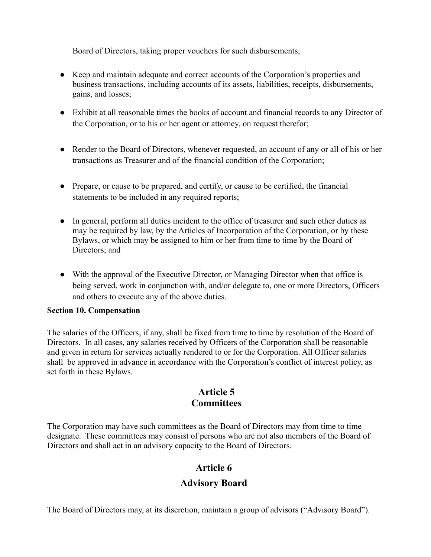Board of Directors, taking proper vouchers for such disbursements;

- Keep and maintain adequate and correct accounts of the Corporation's properties and business transactions, including accounts of its assets, liabilities, receipts, disbursements, gains, and losses;
- Exhibit at all reasonable times the books of account and financial records to any Director of the Corporation, or to his or her agent or attorney, on request therefor;
- Render to the Board of Directors, whenever requested, an account of any or all of his or her transactions as Treasurer and of the financial condition of the Corporation;
- Prepare, or cause to be prepared, and certify, or cause to be certified, the financial statements to be included in any required reports;
- In general, perform all duties incident to the office of treasurer and such other duties as may be required by law, by the Articles of Incorporation of the Corporation, or by these Bylaws, or which may be assigned to him or her from time to time by the Board of Directors; and
- With the approval of the Executive Director, or Managing Director when that office is being served, work in conjunction with, and/or delegate to, one or more Directors, Officers and others to execute any of the above duties.

### **Section 10. Compensation**

The salaries of the Officers, if any, shall be fixed from time to time by resolution of the Board of Directors. In all cases, any salaries received by Officers of the Corporation shall be reasonable and given in return for services actually rendered to or for the Corporation. All Officer salaries shall be approved in advance in accordance with the Corporation's conflict of interest policy, as set forth in these Bylaws.

# **Article 5 Committees**

The Corporation may have such committees as the Board of Directors may from time to time designate. These committees may consist of persons who are not also members of the Board of Directors and shall act in an advisory capacity to the Board of Directors.

# **Article 6**

# **Advisory Board**

The Board of Directors may, at its discretion, maintain a group of advisors ("Advisory Board").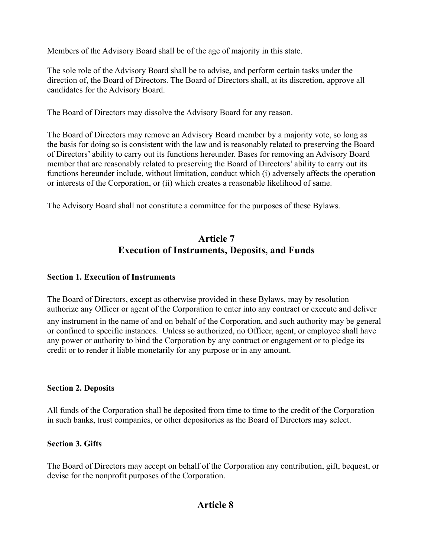Members of the Advisory Board shall be of the age of majority in this state.

The sole role of the Advisory Board shall be to advise, and perform certain tasks under the direction of, the Board of Directors. The Board of Directors shall, at its discretion, approve all candidates for the Advisory Board.

The Board of Directors may dissolve the Advisory Board for any reason.

The Board of Directors may remove an Advisory Board member by a majority vote, so long as the basis for doing so is consistent with the law and is reasonably related to preserving the Board of Directors' ability to carry out its functions hereunder. Bases for removing an Advisory Board member that are reasonably related to preserving the Board of Directors' ability to carry out its functions hereunder include, without limitation, conduct which (i) adversely affects the operation or interests of the Corporation, or (ii) which creates a reasonable likelihood of same.

The Advisory Board shall not constitute a committee for the purposes of these Bylaws.

# **Article 7 Execution of Instruments, Deposits, and Funds**

# **Section 1. Execution of Instruments**

The Board of Directors, except as otherwise provided in these Bylaws, may by resolution authorize any Officer or agent of the Corporation to enter into any contract or execute and deliver any instrument in the name of and on behalf of the Corporation, and such authority may be general or confined to specific instances. Unless so authorized, no Officer, agent, or employee shall have any power or authority to bind the Corporation by any contract or engagement or to pledge its credit or to render it liable monetarily for any purpose or in any amount.

# **Section 2. Deposits**

All funds of the Corporation shall be deposited from time to time to the credit of the Corporation in such banks, trust companies, or other depositories as the Board of Directors may select.

# **Section 3. Gifts**

The Board of Directors may accept on behalf of the Corporation any contribution, gift, bequest, or devise for the nonprofit purposes of the Corporation.

# **Article 8**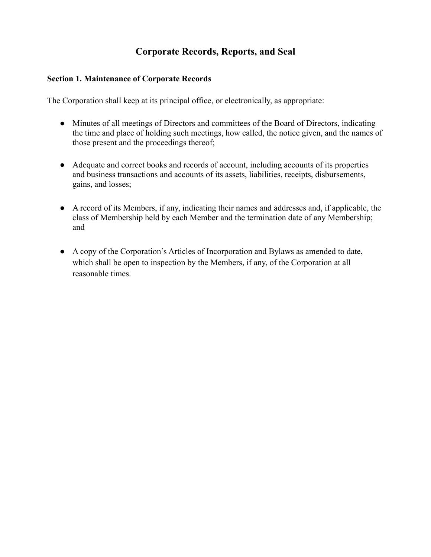# **Corporate Records, Reports, and Seal**

# **Section 1. Maintenance of Corporate Records**

The Corporation shall keep at its principal office, or electronically, as appropriate:

- Minutes of all meetings of Directors and committees of the Board of Directors, indicating the time and place of holding such meetings, how called, the notice given, and the names of those present and the proceedings thereof;
- Adequate and correct books and records of account, including accounts of its properties and business transactions and accounts of its assets, liabilities, receipts, disbursements, gains, and losses;
- A record of its Members, if any, indicating their names and addresses and, if applicable, the class of Membership held by each Member and the termination date of any Membership; and
- A copy of the Corporation's Articles of Incorporation and Bylaws as amended to date, which shall be open to inspection by the Members, if any, of the Corporation at all reasonable times.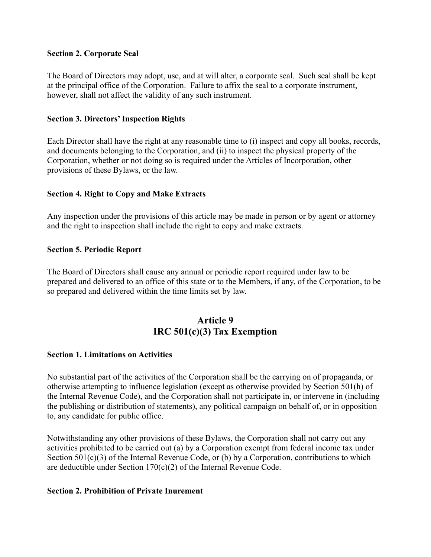#### **Section 2. Corporate Seal**

The Board of Directors may adopt, use, and at will alter, a corporate seal. Such seal shall be kept at the principal office of the Corporation. Failure to affix the seal to a corporate instrument, however, shall not affect the validity of any such instrument.

### **Section 3. Directors' Inspection Rights**

Each Director shall have the right at any reasonable time to (i) inspect and copy all books, records, and documents belonging to the Corporation, and (ii) to inspect the physical property of the Corporation, whether or not doing so is required under the Articles of Incorporation, other provisions of these Bylaws, or the law.

### **Section 4. Right to Copy and Make Extracts**

Any inspection under the provisions of this article may be made in person or by agent or attorney and the right to inspection shall include the right to copy and make extracts.

#### **Section 5. Periodic Report**

The Board of Directors shall cause any annual or periodic report required under law to be prepared and delivered to an office of this state or to the Members, if any, of the Corporation, to be so prepared and delivered within the time limits set by law.

# **Article 9 IRC 501(c)(3) Tax Exemption**

#### **Section 1. Limitations on Activities**

No substantial part of the activities of the Corporation shall be the carrying on of propaganda, or otherwise attempting to influence legislation (except as otherwise provided by Section 501(h) of the Internal Revenue Code), and the Corporation shall not participate in, or intervene in (including the publishing or distribution of statements), any political campaign on behalf of, or in opposition to, any candidate for public office.

Notwithstanding any other provisions of these Bylaws, the Corporation shall not carry out any activities prohibited to be carried out (a) by a Corporation exempt from federal income tax under Section 501(c)(3) of the Internal Revenue Code, or (b) by a Corporation, contributions to which are deductible under Section  $170(c)(2)$  of the Internal Revenue Code.

#### **Section 2. Prohibition of Private Inurement**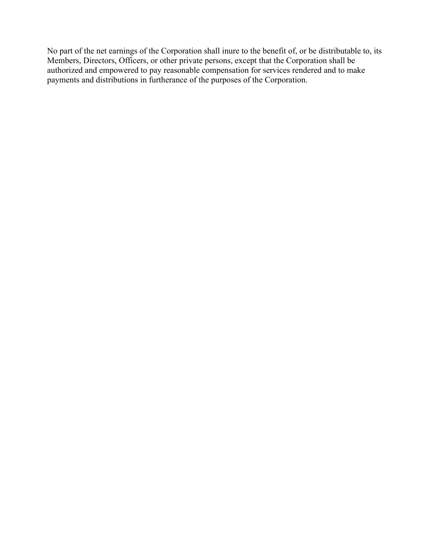No part of the net earnings of the Corporation shall inure to the benefit of, or be distributable to, its Members, Directors, Officers, or other private persons, except that the Corporation shall be authorized and empowered to pay reasonable compensation for services rendered and to make payments and distributions in furtherance of the purposes of the Corporation.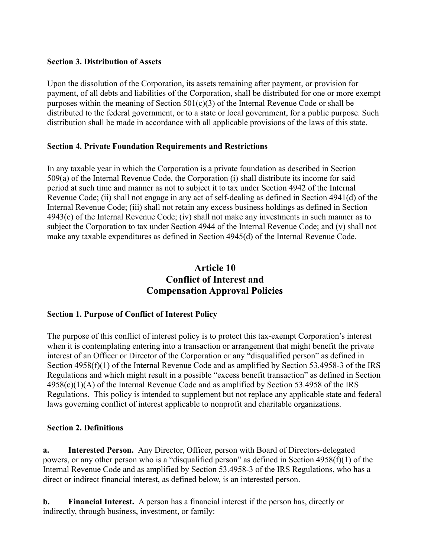### **Section 3. Distribution of Assets**

Upon the dissolution of the Corporation, its assets remaining after payment, or provision for payment, of all debts and liabilities of the Corporation, shall be distributed for one or more exempt purposes within the meaning of Section  $501(c)(3)$  of the Internal Revenue Code or shall be distributed to the federal government, or to a state or local government, for a public purpose. Such distribution shall be made in accordance with all applicable provisions of the laws of this state.

# **Section 4. Private Foundation Requirements and Restrictions**

In any taxable year in which the Corporation is a private foundation as described in Section 509(a) of the Internal Revenue Code, the Corporation (i) shall distribute its income for said period at such time and manner as not to subject it to tax under Section 4942 of the Internal Revenue Code; (ii) shall not engage in any act of self-dealing as defined in Section 4941(d) of the Internal Revenue Code; (iii) shall not retain any excess business holdings as defined in Section 4943(c) of the Internal Revenue Code; (iv) shall not make any investments in such manner as to subject the Corporation to tax under Section 4944 of the Internal Revenue Code; and (v) shall not make any taxable expenditures as defined in Section 4945(d) of the Internal Revenue Code.

# **Article 10 Conflict of Interest and Compensation Approval Policies**

# **Section 1. Purpose of Conflict of Interest Policy**

The purpose of this conflict of interest policy is to protect this tax-exempt Corporation's interest when it is contemplating entering into a transaction or arrangement that might benefit the private interest of an Officer or Director of the Corporation or any "disqualified person" as defined in Section 4958(f)(1) of the Internal Revenue Code and as amplified by Section 53.4958-3 of the IRS Regulations and which might result in a possible "excess benefit transaction" as defined in Section 4958(c)(1)(A) of the Internal Revenue Code and as amplified by Section 53.4958 of the IRS Regulations. This policy is intended to supplement but not replace any applicable state and federal laws governing conflict of interest applicable to nonprofit and charitable organizations.

# **Section 2. Definitions**

**a. Interested Person.** Any Director, Officer, person with Board of Directors-delegated powers, or any other person who is a "disqualified person" as defined in Section 4958(f)(1) of the Internal Revenue Code and as amplified by Section 53.4958-3 of the IRS Regulations, who has a direct or indirect financial interest, as defined below, is an interested person.

**b. Financial Interest.** A person has a financial interest if the person has, directly or indirectly, through business, investment, or family: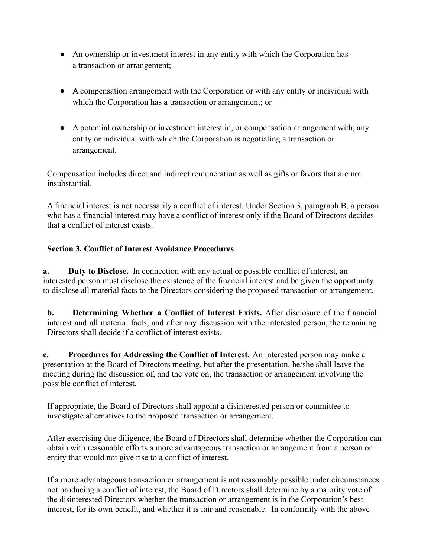- An ownership or investment interest in any entity with which the Corporation has a transaction or arrangement;
- A compensation arrangement with the Corporation or with any entity or individual with which the Corporation has a transaction or arrangement; or
- A potential ownership or investment interest in, or compensation arrangement with, any entity or individual with which the Corporation is negotiating a transaction or arrangement.

Compensation includes direct and indirect remuneration as well as gifts or favors that are not insubstantial.

A financial interest is not necessarily a conflict of interest. Under Section 3, paragraph B, a person who has a financial interest may have a conflict of interest only if the Board of Directors decides that a conflict of interest exists.

# **Section 3. Conflict of Interest Avoidance Procedures**

**a. Duty to Disclose.** In connection with any actual or possible conflict of interest, an interested person must disclose the existence of the financial interest and be given the opportunity to disclose all material facts to the Directors considering the proposed transaction or arrangement.

**b. Determining Whether a Conflict of Interest Exists.** After disclosure of the financial interest and all material facts, and after any discussion with the interested person, the remaining Directors shall decide if a conflict of interest exists.

**c. Procedures for Addressing the Conflict of Interest.** An interested person may make a presentation at the Board of Directors meeting, but after the presentation, he/she shall leave the meeting during the discussion of, and the vote on, the transaction or arrangement involving the possible conflict of interest.

If appropriate, the Board of Directors shall appoint a disinterested person or committee to investigate alternatives to the proposed transaction or arrangement.

After exercising due diligence, the Board of Directors shall determine whether the Corporation can obtain with reasonable efforts a more advantageous transaction or arrangement from a person or entity that would not give rise to a conflict of interest.

If a more advantageous transaction or arrangement is not reasonably possible under circumstances not producing a conflict of interest, the Board of Directors shall determine by a majority vote of the disinterested Directors whether the transaction or arrangement is in the Corporation's best interest, for its own benefit, and whether it is fair and reasonable. In conformity with the above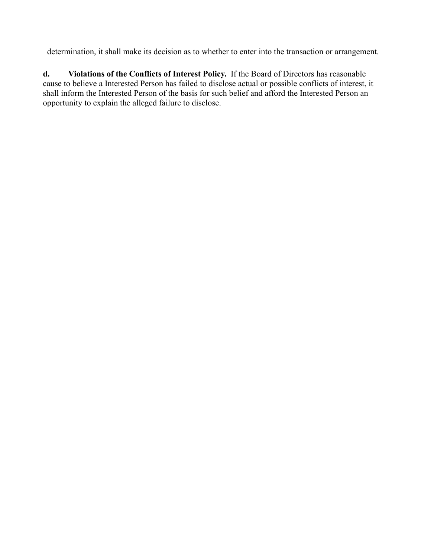determination, it shall make its decision as to whether to enter into the transaction or arrangement.

**d. Violations of the Conflicts of Interest Policy.** If the Board of Directors has reasonable cause to believe a Interested Person has failed to disclose actual or possible conflicts of interest, it shall inform the Interested Person of the basis for such belief and afford the Interested Person an opportunity to explain the alleged failure to disclose.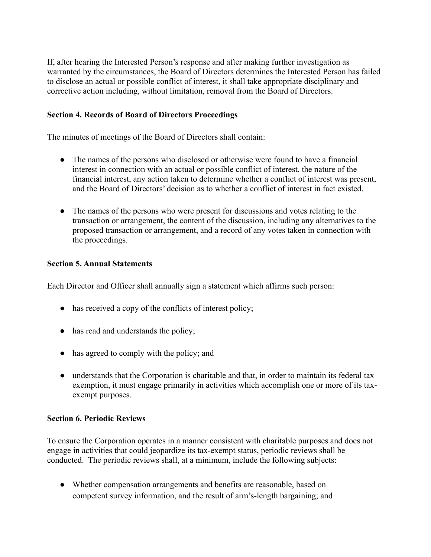If, after hearing the Interested Person's response and after making further investigation as warranted by the circumstances, the Board of Directors determines the Interested Person has failed to disclose an actual or possible conflict of interest, it shall take appropriate disciplinary and corrective action including, without limitation, removal from the Board of Directors.

# **Section 4. Records of Board of Directors Proceedings**

The minutes of meetings of the Board of Directors shall contain:

- The names of the persons who disclosed or otherwise were found to have a financial interest in connection with an actual or possible conflict of interest, the nature of the financial interest, any action taken to determine whether a conflict of interest was present, and the Board of Directors' decision as to whether a conflict of interest in fact existed.
- The names of the persons who were present for discussions and votes relating to the transaction or arrangement, the content of the discussion, including any alternatives to the proposed transaction or arrangement, and a record of any votes taken in connection with the proceedings.

### **Section 5. Annual Statements**

Each Director and Officer shall annually sign a statement which affirms such person:

- has received a copy of the conflicts of interest policy;
- has read and understands the policy;
- has agreed to comply with the policy; and
- understands that the Corporation is charitable and that, in order to maintain its federal tax exemption, it must engage primarily in activities which accomplish one or more of its taxexempt purposes.

### **Section 6. Periodic Reviews**

To ensure the Corporation operates in a manner consistent with charitable purposes and does not engage in activities that could jeopardize its tax-exempt status, periodic reviews shall be conducted. The periodic reviews shall, at a minimum, include the following subjects:

• Whether compensation arrangements and benefits are reasonable, based on competent survey information, and the result of arm's-length bargaining; and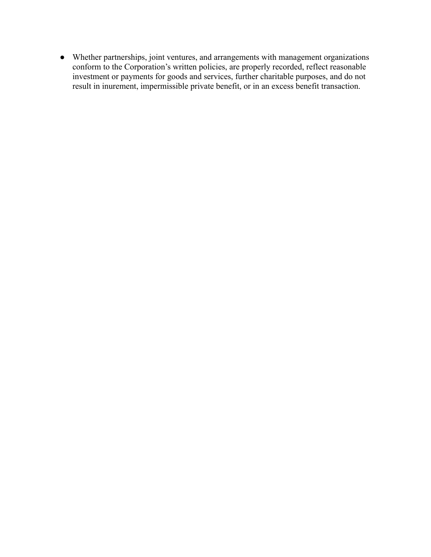● Whether partnerships, joint ventures, and arrangements with management organizations conform to the Corporation's written policies, are properly recorded, reflect reasonable investment or payments for goods and services, further charitable purposes, and do not result in inurement, impermissible private benefit, or in an excess benefit transaction.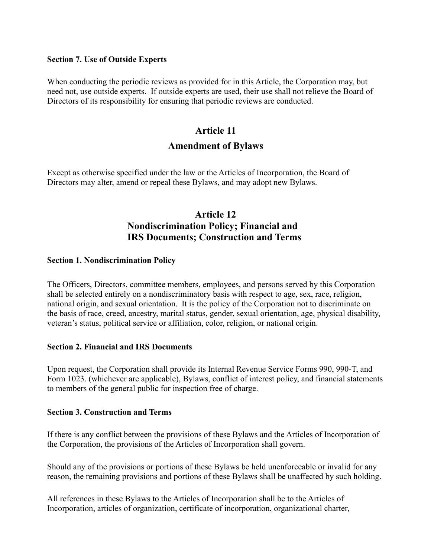### **Section 7. Use of Outside Experts**

When conducting the periodic reviews as provided for in this Article, the Corporation may, but need not, use outside experts. If outside experts are used, their use shall not relieve the Board of Directors of its responsibility for ensuring that periodic reviews are conducted.

# **Article 11 Amendment of Bylaws**

Except as otherwise specified under the law or the Articles of Incorporation, the Board of Directors may alter, amend or repeal these Bylaws, and may adopt new Bylaws.

# **Article 12 Nondiscrimination Policy; Financial and IRS Documents; Construction and Terms**

#### **Section 1. Nondiscrimination Policy**

The Officers, Directors, committee members, employees, and persons served by this Corporation shall be selected entirely on a nondiscriminatory basis with respect to age, sex, race, religion, national origin, and sexual orientation. It is the policy of the Corporation not to discriminate on the basis of race, creed, ancestry, marital status, gender, sexual orientation, age, physical disability, veteran's status, political service or affiliation, color, religion, or national origin.

#### **Section 2. Financial and IRS Documents**

Upon request, the Corporation shall provide its Internal Revenue Service Forms 990, 990-T, and Form 1023. (whichever are applicable), Bylaws, conflict of interest policy, and financial statements to members of the general public for inspection free of charge.

#### **Section 3. Construction and Terms**

If there is any conflict between the provisions of these Bylaws and the Articles of Incorporation of the Corporation, the provisions of the Articles of Incorporation shall govern.

Should any of the provisions or portions of these Bylaws be held unenforceable or invalid for any reason, the remaining provisions and portions of these Bylaws shall be unaffected by such holding.

All references in these Bylaws to the Articles of Incorporation shall be to the Articles of Incorporation, articles of organization, certificate of incorporation, organizational charter,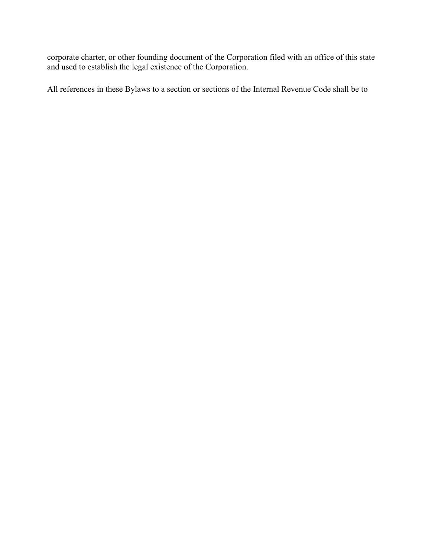corporate charter, or other founding document of the Corporation filed with an office of this state and used to establish the legal existence of the Corporation.

All references in these Bylaws to a section or sections of the Internal Revenue Code shall be to